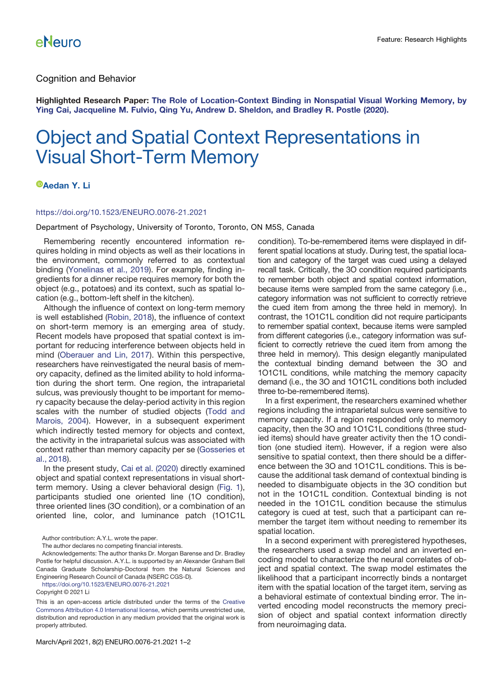## Cognition and Behavior

Highlighted Research Paper: [The Role of Location-Context Binding in Nonspatial Visual Working Memory, by](https://doi.org/10.1523/ENEURO.0430-20.2020) [Ying Cai, Jacqueline M. Fulvio, Qing Yu, Andrew D. Sheldon, and Bradley R. Postle \(2020\).](https://doi.org/10.1523/ENEURO.0430-20.2020)

# Object and Spatial Context Representations in Visual Short-Term Memory

### *<sup>D</sup>[Aedan Y. Li](https://orcid.org/0000-0003-0580-4676)*

#### <https://doi.org/10.1523/ENEURO.0076-21.2021>

Department of Psychology, University of Toronto, Toronto, ON M5S, Canada

Remembering recently encountered information requires holding in mind objects as well as their locations in the environment, commonly referred to as contextual binding [\(Yonelinas et al., 2019](#page-1-0)). For example, finding ingredients for a dinner recipe requires memory for both the object (e.g., potatoes) and its context, such as spatial location (e.g., bottom-left shelf in the kitchen).

Although the influence of context on long-term memory is well established [\(Robin, 2018\)](#page-1-1), the influence of context on short-term memory is an emerging area of study. Recent models have proposed that spatial context is important for reducing interference between objects held in mind ([Oberauer and Lin, 2017](#page-1-2)). Within this perspective, researchers have reinvestigated the neural basis of memory capacity, defined as the limited ability to hold information during the short term. One region, the intraparietal sulcus, was previously thought to be important for memory capacity because the delay-period activity in this region scales with the number of studied objects ([Todd and](#page-1-3) [Marois, 2004\)](#page-1-3). However, in a subsequent experiment which indirectly tested memory for objects and context, the activity in the intraparietal sulcus was associated with context rather than memory capacity per se ([Gosseries et](#page-1-4) [al., 2018\)](#page-1-4).

In the present study, [Cai et al. \(2020\)](#page-1-5) directly examined object and spatial context representations in visual shortterm memory. Using a clever behavioral design [\(Fig. 1\)](#page-1-6), participants studied one oriented line (1O condition), three oriented lines (3O condition), or a combination of an oriented line, color, and luminance patch (1O1C1L

Author contribution: A.Y.L. wrote the paper.

The author declares no competing financial interests.

Acknowledgements: The author thanks Dr. Morgan Barense and Dr. Bradley Postle for helpful discussion. A.Y.L. is supported by an Alexander Graham Bell Canada Graduate Scholarship-Doctoral from the Natural Sciences and Engineering Research Council of Canada (NSERC CGS-D).

<https://doi.org/10.1523/ENEURO.0076-21.2021>

Copyright © 2021 Li

This is an open-access article distributed under the terms of the [Creative](http://creativecommons.org/licenses/by/4.0/) [Commons Attribution 4.0 International license,](http://creativecommons.org/licenses/by/4.0/) which permits unrestricted use, distribution and reproduction in any medium provided that the original work is properly attributed.

condition). To-be-remembered items were displayed in different spatial locations at study. During test, the spatial location and category of the target was cued using a delayed recall task. Critically, the 3O condition required participants to remember both object and spatial context information, because items were sampled from the same category (i.e., category information was not sufficient to correctly retrieve the cued item from among the three held in memory). In contrast, the 1O1C1L condition did not require participants to remember spatial context, because items were sampled from different categories (i.e., category information was sufficient to correctly retrieve the cued item from among the three held in memory). This design elegantly manipulated the contextual binding demand between the 3O and 1O1C1L conditions, while matching the memory capacity demand (i.e., the 3O and 1O1C1L conditions both included three to-be-remembered items).

In a first experiment, the researchers examined whether regions including the intraparietal sulcus were sensitive to memory capacity. If a region responded only to memory capacity, then the 3O and 1O1C1L conditions (three studied items) should have greater activity then the 1O condition (one studied item). However, if a region were also sensitive to spatial context, then there should be a difference between the 3O and 1O1C1L conditions. This is because the additional task demand of contextual binding is needed to disambiguate objects in the 3O condition but not in the 1O1C1L condition. Contextual binding is not needed in the 1O1C1L condition because the stimulus category is cued at test, such that a participant can remember the target item without needing to remember its spatial location.

In a second experiment with preregistered hypotheses, the researchers used a swap model and an inverted encoding model to characterize the neural correlates of object and spatial context. The swap model estimates the likelihood that a participant incorrectly binds a nontarget item with the spatial location of the target item, serving as a behavioral estimate of contextual binding error. The inverted encoding model reconstructs the memory precision of object and spatial context information directly from neuroimaging data.